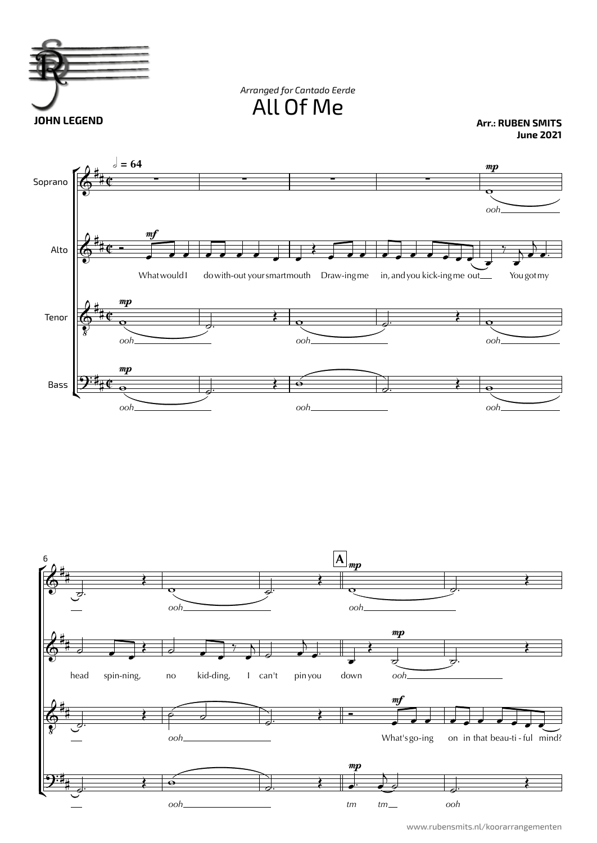

Arranged for Cantado Eerde

## **Arr.: RUBEN SMITS June 2021**





www.rubensmits.nl/koorarrangementen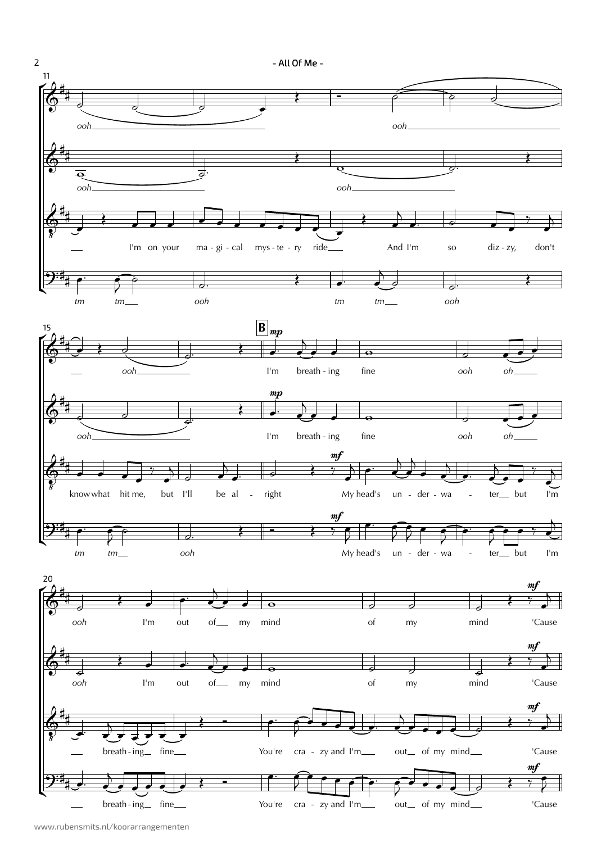

www.rubensmits.nl/koorarrangementen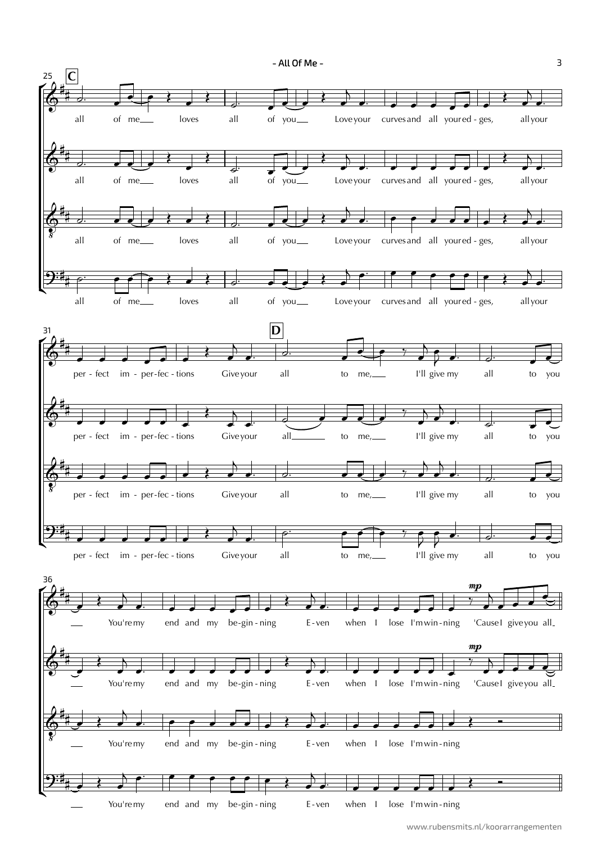

www.rubensmits.nl/koorarrangementen